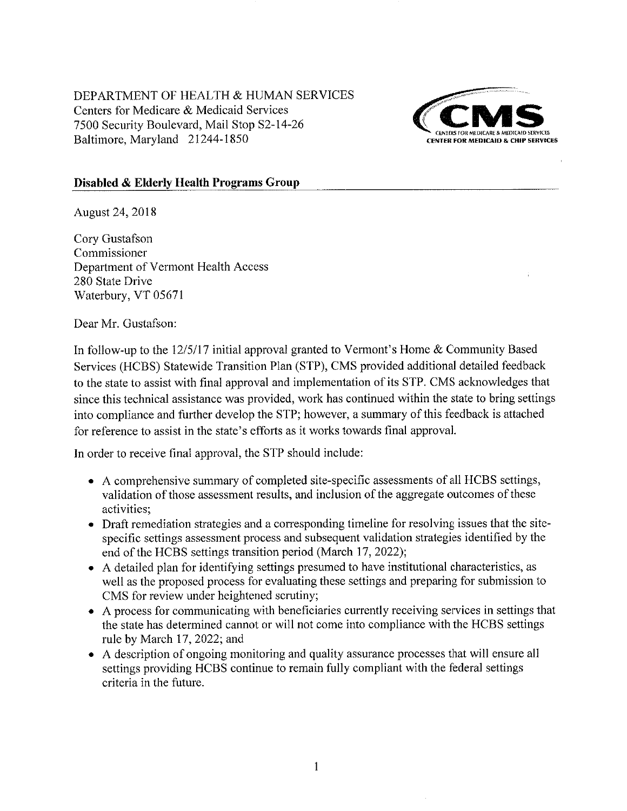DEPARTMENT OF HEALTH & HUMAN SERVICES Centers for Medicare & Medicaid Services 7500 Security Boulevard, Mail Stop S2-14-26 Baltimore, Maryland 21244-1850



## Disabled & Elderly Health Programs Group

August 24, 2018

Cory Gustafson Commissioner Department of Vermont Health Access 280 State Drive Waterbury, VT 05671

Dear Mr. Gustafson:

In follow-up to the  $12/5/17$  initial approval granted to Vermont's Home & Community Based Services (HCBS) Statewide Transition Plan (STP), CMS provided additional detailed feedback to the state to assist with final approval and implementation of its STP. CMS acknowledges that since this technical assistance was provided, work has continued within the state to bring settings into compliance and further develop the STP; however, a summary of this feedback is attached for reference to assist in the state's efforts as it works towards final approval.

In order to receive final approval, the STP should include:

- A comprehensive summary of completed site-specific assessments of all HCBS settings, validation of those assessment results, and inclusion of the aggregate outcomes of these activities:
- Draft remediation strategies and a corresponding timeline for resolving issues that the sitespecific settings assessment process and subsequent validation strategies identified by the end of the HCBS settings transition period (March 17, 2022);
- A detailed plan for identifying settings presumed to have institutional characteristics, as well as the proposed process for evaluating these settings and preparing for submission to CMS for review under heightened scrutiny;
- A process for communicating with beneficiaries currently receiving services in settings that the state has determined cannot or will not come into compliance with the HCBS settings rule by March 17, 2022; and
- A description of ongoing monitoring and quality assurance processes that will ensure all settings providing HCBS continue to remain fully compliant with the federal settings criteria in the future.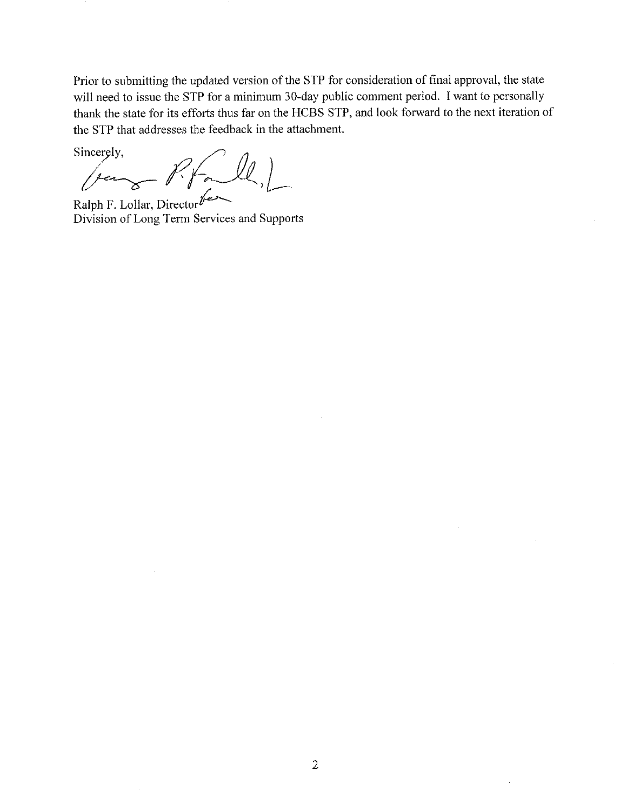Prior to submitting the updated version of the STP for consideration of final approval, the state will need to issue the STP for a minimum 30-day public comment period. I want to personally thank the state for its efforts thus far on the HCBS STP, and look forward to the next iteration of the STP that addresses the feedback in the attachment.

Sincerely,

 $(L)$  $-\cancel{1}$ fer 8

Ralph F. Lollar, Director Division of Long Term Services and Supports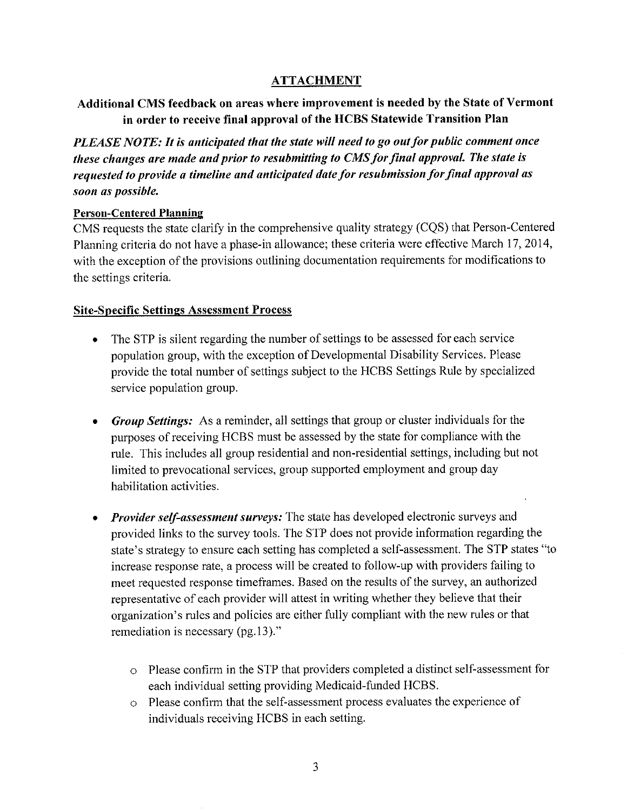# ATTACHMENT

# Additional CMS feedback on areâs where improvement is needed by the State of Vermont in order to receive final approval of the HCBS Statewide Transition Plan

PLEASE NOTE: It is anticipated that the state will need to go out for public comment once these changes are made and prior to resubmitting to CMS for final approval. The state is requested to provide a timeline and anticipated date for resubmission for final approval as soon as possible.

## Person-Centered Planning

CMS requests the state clarify in the comprehensive quality strategy (CQS) that Person-Centered Planning criteria do not have a phase-in allowance; these criteria were effective March <sup>17</sup>,2014, with the exception of the provisions outlining documentation requirements for modifications to the settings criteria.

# Site-SÞecific Settings Assessment Process

- The STP is silent regarding the number of settings to be assessed for each service population group, with the exception of Developmental Disability Services. Please provide the total number of settings subject to the HCBS Settings Rule by specialized service population group. a
- Group Settings: As a reminder, all settings that group or cluster individuals for the purposes ofreceiving HCBS must be assessed by the state for compliance with the rule. This includes all group residential and non-residential settings, including but not limited to prevocational services, group supported employment and group day habilitation activities.
- **Provider self-assessment surveys:** The state has developed electronic surveys and  $\bullet$ provided links to the survey tools. The STP does not provide information regarding the state's strategy to ensure each setting has completed a self-assessment. The STP states "to increase response rate, a process will be created to follow-up with providers failing to meet requested response timeframes. Based on the results of the survey, an authorized representative of each provider will attest in writing whether they believe that their organization's rules and policies are either fully compliant with the new rules or that remediation is necessary  $(pg.13)$ ."
	- o Please confirm in the STP that providers completed a distinct self-assessment for each individual setting providing Medicaid-funded HCBS.
	- o Please confirm that the self-assessment process evaluates the experience of individuals receiving HCBS in each setting.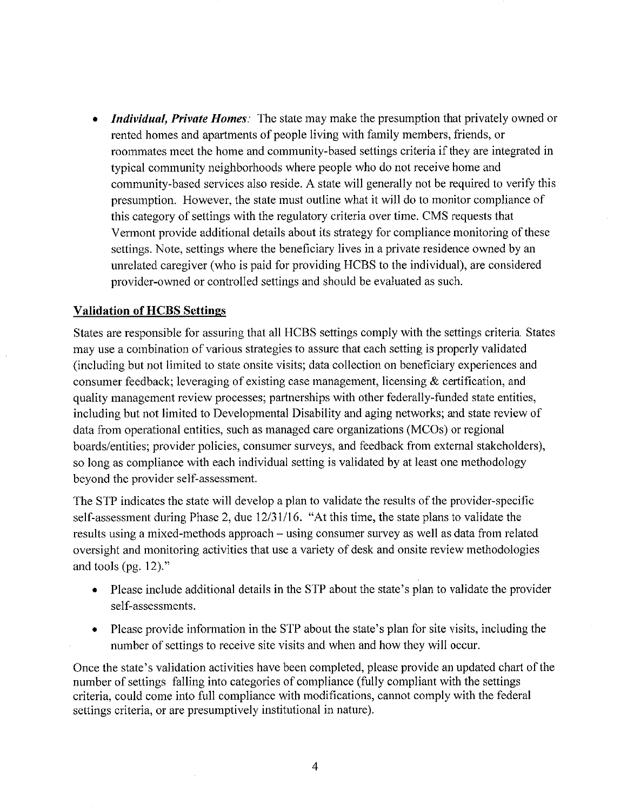**Individual, Private Homes**: The state may make the presumption that privately owned or rented homes and apartments of people living with family members, friends, or roommates meet the home and community-based settings criteria if they are integrated in typical community neighborhoods where people who do not receive home and community-based sewices also reside. A state will generally not be required to verify this presumption. However, the state must outline what it will do to monitor compliance of this category of settings with the regulatory criteria over time. CMS requests that Vermont provide additional details about its strategy for compliance monitoring of these settings. Note, settings where the benefrciary lives in a private residence owned by an umelated caregiver (who is paid for providing HCBS to the individual), are considered provider-owned or controlled settings and should be evaluated as such.

#### Validation of HCBS Setfinss

States are responsible for assuring that all HCBS settings comply with the settings criteria. States may use a combination of various strategies to assure that each setting is properly validated (including but not limited to state onsite visits; data collection on beneficiary experiences and consumer feedback; leveraging of existing case management, licensing  $\&$  certification, and quality management review processes; partnerships with other federally-funded state entities, including but not limited to Developmental Disability and aging networks; and state review of data from operational entities, such as managed care organizations (MCOs) or regional boards/entities; provider policies, consumer surveys, and feedback from external stakeholders), so long as compliance with each individual setting is validated by at least one methodology beyond the provider self-assessment.

The STP indicates the state will develop a plan to validate the results of the provider-specific self-assessment during Phase 2, due  $12/31/16$ . "At this time, the state plans to validate the results using a mixed-methods approach - using consumer survey as well as data from related oversight and monitoring activities that use a variety of desk and onsite review methodologies and tools (pg.  $12$ )."

- Please include additional details in the STP about the state's plan to validate the provider self-assessments.
- Please provide information in the STP about the state's plan for site visits, including the number of settings to receive site visits and when and how they will occur.

Once the state's validation activities have been completed, please provide an updated chart of the number of settings falling into categories of compliance (fully compliant with the settings criteria, could come into full compliance with modifications, cannot comply with the federal settings criteria, or are presumptively institutional in nature).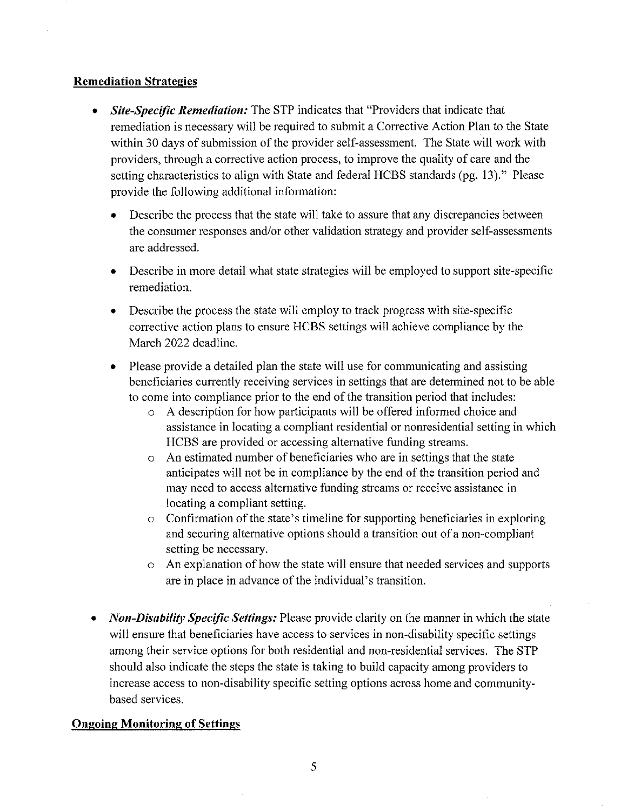### **Remediation Strategies**

- Site-Specific Remediation: The STP indicates that "Providers that indicate that remediation is necessary will be required to submit a Corrective Action Plan to the State within 30 days of submission of the provider self-assessment. The State will work with providers, through a corrective action process, to improve the quality of care and the setting characteristics to align with State and federal HCBS standards (pg. 13)." Please provide the following additional information: a
	- Describe the process that the state will take to assure that any discrepancies between the consumer responses and/or other validation strategy and provider self-assessments are addressed.
	- . Describe in more detail what state strategies will be employed to support site-specific remediation.
	- Describe the process the state will employ to track progress with site-specific corrective action plans to ensure HCBS settings will achieve compliance by the March 2022 deadline.
	- Please provide a detailed plan the state will use for communicating and assisting beneficiaries currently receiving services in setlings that are determined not to be able to come into compliance prior to the end of the transition period that includes:
		- o A description for how participants will be offered informed choice and assistance in locating a compliant residential or nonresidential setting in which HCBS are provided or accessing alternative funding streams.
		- o An estimated number of beneficiaries who are in settings that the state anticipates will not be in compliance by the end of the transition period and may need to access alternative funding streams or receive assistance in locating a compliant setting.
		- o Confirmation of the state's timeline for supporting beneficiaries in exploring and securing alternative options should a transition out of a non-compliant setting be necessary.
		- o An explanation of how the state will ensure that needed services and supports are in place in advance of the individual's transition.
- Non-Disability Specific Settings: Please provide clarity on the manner in which the state will ensure that beneficiaries have access to services in non-disability specific settings among their service options for both residential and non-residential services. The STP should also indicate the steps the state is taking to build capacity among providers to increase access to non-disability specific setting options across home and communitybased services.

# **Ongoing Monitoring of Settings**